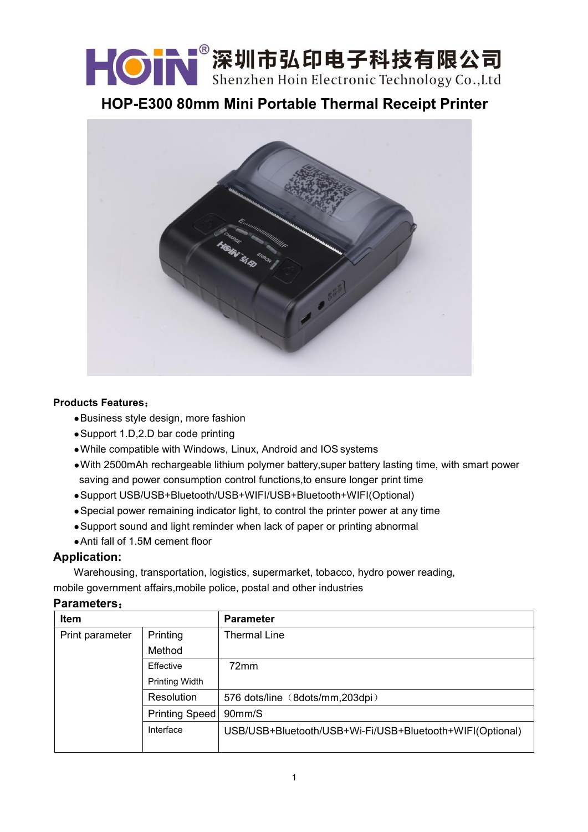KON 深圳市弘印电子科技有限公司

**HOP-E300 80mm Mini Portable Thermal Receipt Printer**



## **Products Features**:

- ●Business style design, more fashion
- ●Support 1.D,2.D bar code printing
- ●While compatible with Windows, Linux, Android and IOS systems
- ●With 2500mAh rechargeable lithium polymer battery,super battery lasting time, with smart power saving and power consumption control functions, to ensure longer print time
- ●Support USB/USB+Bluetooth/USB+WIFI/USB+Bluetooth+WIFI(Optional)
- Special power remaining indicator light, to control the printer power at any time
- Support sound and light reminder when lack of paper or printing abnormal
- ●Anti fall of 1.5M cement floor

## **Application:**

Warehousing, transportation, logistics, supermarket, tobacco, hydro power reading, mobile government affairs,mobile police, postal and other industries

## **Parameters**:

| Item            |                       | <b>Parameter</b>                                         |
|-----------------|-----------------------|----------------------------------------------------------|
| Print parameter | Printing              | Thermal Line                                             |
|                 | Method                |                                                          |
|                 | Effective             | 72mm                                                     |
|                 | <b>Printing Width</b> |                                                          |
|                 | Resolution            | 576 dots/line (8dots/mm,203dpi)                          |
|                 | Printing Speed        | 90mm/S                                                   |
|                 | Interface             | USB/USB+Bluetooth/USB+Wi-Fi/USB+Bluetooth+WIFI(Optional) |
|                 |                       |                                                          |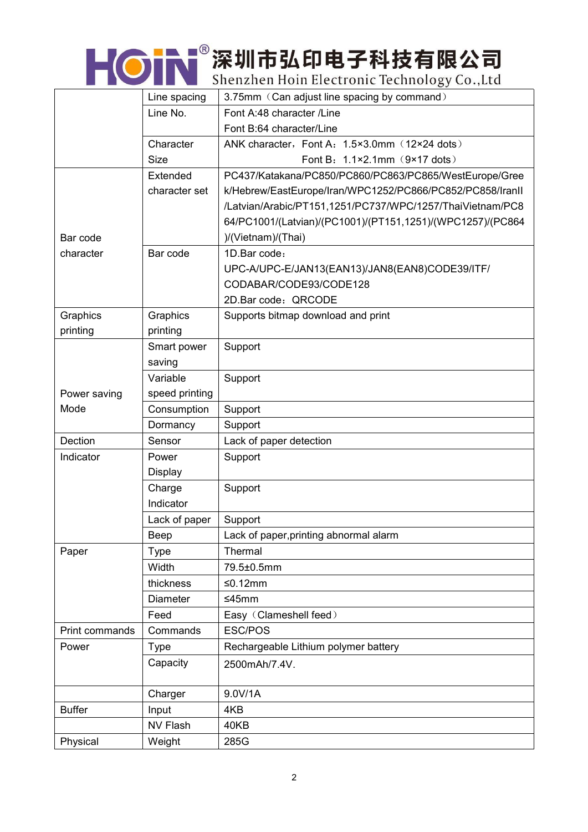| <b>HON</b> 深圳市弘印电子科技有限公司                     |
|----------------------------------------------|
| Shenzhen Hoin Electronic Technology Co., Ltd |

|                | Line spacing    | 3.75mm (Can adjust line spacing by command)                |
|----------------|-----------------|------------------------------------------------------------|
|                | Line No.        | Font A:48 character /Line                                  |
|                |                 | Font B:64 character/Line                                   |
|                | Character       | ANK character, Font A: 1.5×3.0mm (12×24 dots)              |
|                | <b>Size</b>     | Font B: 1.1×2.1mm (9×17 dots)                              |
|                | Extended        | PC437/Katakana/PC850/PC860/PC863/PC865/WestEurope/Gree     |
|                | character set   | k/Hebrew/EastEurope/Iran/WPC1252/PC866/PC852/PC858/IranII  |
|                |                 | /Latvian/Arabic/PT151,1251/PC737/WPC/1257/ThaiVietnam/PC8  |
|                |                 | 64/PC1001/(Latvian)/(PC1001)/(PT151,1251)/(WPC1257)/(PC864 |
| Bar code       |                 | )/(Vietnam)/(Thai)                                         |
| character      | Bar code        | 1D.Bar code:                                               |
|                |                 | UPC-A/UPC-E/JAN13(EAN13)/JAN8(EAN8)CODE39/ITF/             |
|                |                 | CODABAR/CODE93/CODE128                                     |
|                |                 | 2D.Bar code: QRCODE                                        |
| Graphics       | Graphics        | Supports bitmap download and print                         |
| printing       | printing        |                                                            |
|                | Smart power     | Support                                                    |
|                | saving          |                                                            |
|                | Variable        | Support                                                    |
| Power saving   | speed printing  |                                                            |
| Mode           | Consumption     | Support                                                    |
|                | Dormancy        | Support                                                    |
| Dection        | Sensor          | Lack of paper detection                                    |
| Indicator      | Power           | Support                                                    |
|                | <b>Display</b>  |                                                            |
|                | Charge          | Support                                                    |
|                | Indicator       |                                                            |
|                | Lack of paper   | Support                                                    |
|                | Beep            | Lack of paper, printing abnormal alarm                     |
| Paper          | <b>Type</b>     | Thermal                                                    |
|                | Width           | 79.5±0.5mm                                                 |
|                | thickness       | $≤0.12mm$                                                  |
|                | <b>Diameter</b> | $≤45mm$                                                    |
|                | Feed            | Easy (Clameshell feed)                                     |
| Print commands | Commands        | ESC/POS                                                    |
| Power          | <b>Type</b>     | Rechargeable Lithium polymer battery                       |
|                | Capacity        | 2500mAh/7.4V.                                              |
|                | Charger         | 9.0V/1A                                                    |
| <b>Buffer</b>  | Input           | 4KB                                                        |
|                | NV Flash        | 40KB                                                       |
| Physical       | Weight          | 285G                                                       |